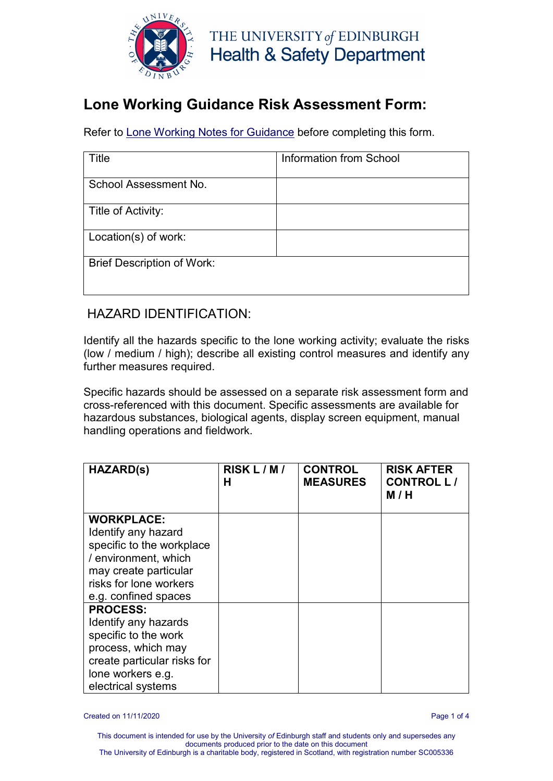

### **Lone Working Guidance Risk Assessment Form:**

Refer to [Lone Working Notes for Guidance](http://www.docs.csg.ed.ac.uk/Safety/ra/LOOH_notes.pdf) before completing this form.

| Title                             | Information from School |
|-----------------------------------|-------------------------|
| School Assessment No.             |                         |
| Title of Activity:                |                         |
| Location(s) of work:              |                         |
| <b>Brief Description of Work:</b> |                         |

#### HAZARD IDENTIFICATION:

Identify all the hazards specific to the lone working activity; evaluate the risks (low / medium / high); describe all existing control measures and identify any further measures required.

Specific hazards should be assessed on a separate risk assessment form and cross-referenced with this document. Specific assessments are available for hazardous substances, biological agents, display screen equipment, manual handling operations and fieldwork.

| <b>HAZARD(s)</b>            | RISK L/M/<br>н | <b>CONTROL</b><br><b>MEASURES</b> | <b>RISK AFTER</b><br><b>CONTROL L/</b><br>M / H |
|-----------------------------|----------------|-----------------------------------|-------------------------------------------------|
| <b>WORKPLACE:</b>           |                |                                   |                                                 |
| Identify any hazard         |                |                                   |                                                 |
| specific to the workplace   |                |                                   |                                                 |
| / environment, which        |                |                                   |                                                 |
| may create particular       |                |                                   |                                                 |
| risks for lone workers      |                |                                   |                                                 |
| e.g. confined spaces        |                |                                   |                                                 |
| <b>PROCESS:</b>             |                |                                   |                                                 |
| Identify any hazards        |                |                                   |                                                 |
| specific to the work        |                |                                   |                                                 |
| process, which may          |                |                                   |                                                 |
| create particular risks for |                |                                   |                                                 |
| lone workers e.g.           |                |                                   |                                                 |
| electrical systems          |                |                                   |                                                 |

Created on 11/11/2020 Page 1 of 4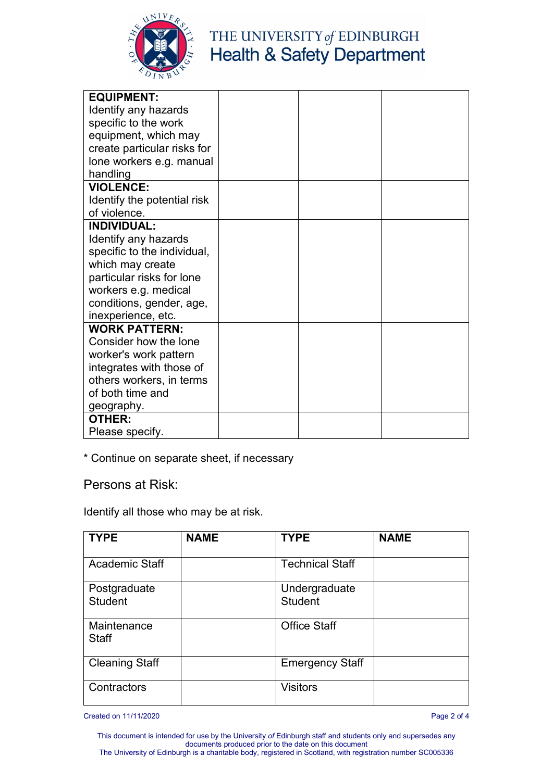

# THE UNIVERSITY of EDINBURGH<br>Health & Safety Department

| <b>EQUIPMENT:</b>           |  |  |
|-----------------------------|--|--|
| Identify any hazards        |  |  |
| specific to the work        |  |  |
| equipment, which may        |  |  |
| create particular risks for |  |  |
| lone workers e.g. manual    |  |  |
| handling                    |  |  |
| <b>VIOLENCE:</b>            |  |  |
| Identify the potential risk |  |  |
| of violence.                |  |  |
| <b>INDIVIDUAL:</b>          |  |  |
| Identify any hazards        |  |  |
| specific to the individual, |  |  |
| which may create            |  |  |
| particular risks for lone   |  |  |
| workers e.g. medical        |  |  |
| conditions, gender, age,    |  |  |
| inexperience, etc.          |  |  |
| <b>WORK PATTERN:</b>        |  |  |
| Consider how the lone       |  |  |
| worker's work pattern       |  |  |
| integrates with those of    |  |  |
| others workers, in terms    |  |  |
| of both time and            |  |  |
| geography.                  |  |  |
| <b>OTHER:</b>               |  |  |
| Please specify.             |  |  |

\* Continue on separate sheet, if necessary

Persons at Risk:

Identify all those who may be at risk.

| <b>TYPE</b>                    | <b>NAME</b> | <b>TYPE</b>                     | <b>NAME</b> |
|--------------------------------|-------------|---------------------------------|-------------|
| <b>Academic Staff</b>          |             | <b>Technical Staff</b>          |             |
| Postgraduate<br><b>Student</b> |             | Undergraduate<br><b>Student</b> |             |
| Maintenance<br><b>Staff</b>    |             | <b>Office Staff</b>             |             |
| <b>Cleaning Staff</b>          |             | <b>Emergency Staff</b>          |             |
| Contractors                    |             | <b>Visitors</b>                 |             |

Created on 11/11/2020 Page 2 of 4

This document is intended for use by the University *of* Edinburgh staff and students only and supersedes any documents produced prior to the date on this document The University of Edinburgh is a charitable body, registered in Scotland, with registration number SC005336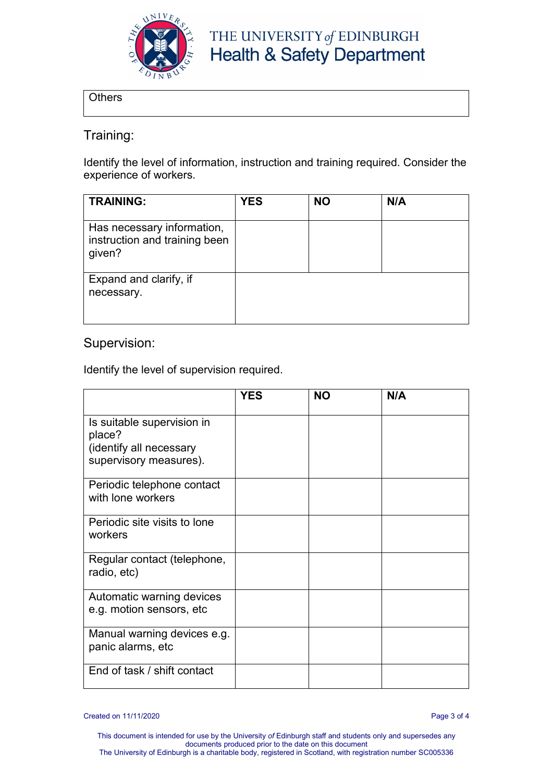

## THE UNIVERSITY of EDINBURGH **Health & Safety Department**

**Others** 

#### Training:

Identify the level of information, instruction and training required. Consider the experience of workers.

| <b>TRAINING:</b>                                                      | <b>YES</b> | <b>NO</b> | N/A |
|-----------------------------------------------------------------------|------------|-----------|-----|
| Has necessary information,<br>instruction and training been<br>given? |            |           |     |
| Expand and clarify, if<br>necessary.                                  |            |           |     |

#### Supervision:

Identify the level of supervision required.

|                                                                                           | <b>YES</b> | <b>NO</b> | N/A |
|-------------------------------------------------------------------------------------------|------------|-----------|-----|
| Is suitable supervision in<br>place?<br>(identify all necessary<br>supervisory measures). |            |           |     |
| Periodic telephone contact                                                                |            |           |     |
| with lone workers                                                                         |            |           |     |
| Periodic site visits to lone<br>workers                                                   |            |           |     |
| Regular contact (telephone,<br>radio, etc)                                                |            |           |     |
| Automatic warning devices<br>e.g. motion sensors, etc                                     |            |           |     |
| Manual warning devices e.g.<br>panic alarms, etc                                          |            |           |     |
| End of task / shift contact                                                               |            |           |     |

Created on 11/11/2020 Page 3 of 4